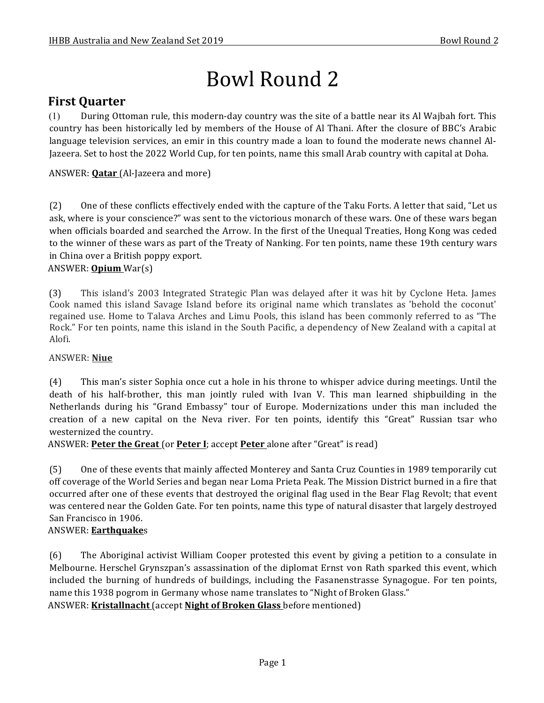# Bowl Round 2

# **First Quarter**

(1) During Ottoman rule, this modern-day country was the site of a battle near its Al Wajbah fort. This country has been historically led by members of the House of Al Thani. After the closure of BBC's Arabic language television services, an emir in this country made a loan to found the moderate news channel Al-Jazeera. Set to host the 2022 World Cup, for ten points, name this small Arab country with capital at Doha.

ANSWER: **Qatar** (Al-Jazeera and more)

(2) One of these conflicts effectively ended with the capture of the Taku Forts. A letter that said, "Let us ask, where is your conscience?" was sent to the victorious monarch of these wars. One of these wars began when officials boarded and searched the Arrow. In the first of the Unequal Treaties, Hong Kong was ceded to the winner of these wars as part of the Treaty of Nanking. For ten points, name these 19th century wars in China over a British poppy export.

## ANSWER: **Opium** War(s)

(3) This island's 2003 Integrated Strategic Plan was delayed after it was hit by Cyclone Heta. James Cook named this island Savage Island before its original name which translates as 'behold the coconut' regained use. Home to Talava Arches and Limu Pools, this island has been commonly referred to as "The Rock." For ten points, name this island in the South Pacific, a dependency of New Zealand with a capital at Alofi.

## ANSWER: **Niue**

(4) This man's sister Sophia once cut a hole in his throne to whisper advice during meetings. Until the death of his half-brother, this man jointly ruled with Ivan V. This man learned shipbuilding in the Netherlands during his "Grand Embassy" tour of Europe. Modernizations under this man included the creation of a new capital on the Neva river. For ten points, identify this "Great" Russian tsar who westernized the country.

ANSWER: **Peter the Great** (or **Peter I**; accept **Peter** alone after "Great" is read)

(5) One of these events that mainly affected Monterey and Santa Cruz Counties in 1989 temporarily cut off coverage of the World Series and began near Loma Prieta Peak. The Mission District burned in a fire that occurred after one of these events that destroyed the original flag used in the Bear Flag Revolt; that event was centered near the Golden Gate. For ten points, name this type of natural disaster that largely destroyed San Francisco in 1906.

## ANSWER: **Earthquake**s

(6) The Aboriginal activist William Cooper protested this event by giving a petition to a consulate in Melbourne. Herschel Grynszpan's assassination of the diplomat Ernst von Rath sparked this event, which included the burning of hundreds of buildings, including the Fasanenstrasse Synagogue. For ten points, name this 1938 pogrom in Germany whose name translates to "Night of Broken Glass." ANSWER: Kristallnacht (accept Night of Broken Glass before mentioned)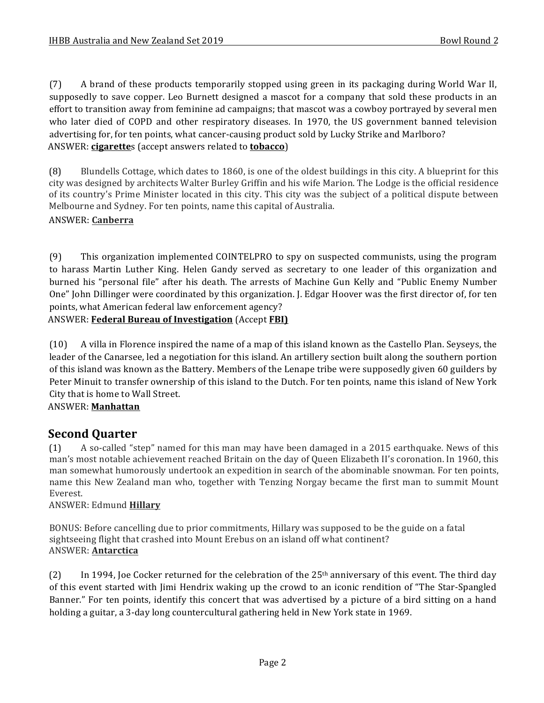(7) A brand of these products temporarily stopped using green in its packaging during World War II, supposedly to save copper. Leo Burnett designed a mascot for a company that sold these products in an effort to transition away from feminine ad campaigns; that mascot was a cowboy portrayed by several men who later died of COPD and other respiratory diseases. In 1970, the US government banned television advertising for, for ten points, what cancer-causing product sold by Lucky Strike and Marlboro? ANSWER: **cigarette**s (accept answers related to **tobacco**)

(8) Blundells Cottage, which dates to 1860, is one of the oldest buildings in this city. A blueprint for this city was designed by architects Walter Burley Griffin and his wife Marion. The Lodge is the official residence of its country's Prime Minister located in this city. This city was the subject of a political dispute between Melbourne and Sydney. For ten points, name this capital of Australia.

## ANSWER: **Canberra**

(9) This organization implemented COINTELPRO to spy on suspected communists, using the program to harass Martin Luther King. Helen Gandy served as secretary to one leader of this organization and burned his "personal file" after his death. The arrests of Machine Gun Kelly and "Public Enemy Number One" John Dillinger were coordinated by this organization. J. Edgar Hoover was the first director of, for ten points, what American federal law enforcement agency?

ANSWER: **Federal Bureau of Investigation** (Accept **FBI)** 

(10) A villa in Florence inspired the name of a map of this island known as the Castello Plan. Seyseys, the leader of the Canarsee, led a negotiation for this island. An artillery section built along the southern portion of this island was known as the Battery. Members of the Lenape tribe were supposedly given 60 guilders by Peter Minuit to transfer ownership of this island to the Dutch. For ten points, name this island of New York City that is home to Wall Street.

## ANSWER: **Manhattan**

## **Second Quarter**

(1) A so-called "step" named for this man may have been damaged in a 2015 earthquake. News of this man's most notable achievement reached Britain on the day of Queen Elizabeth II's coronation. In 1960, this man somewhat humorously undertook an expedition in search of the abominable snowman. For ten points, name this New Zealand man who, together with Tenzing Norgay became the first man to summit Mount Everest.

### ANSWER: Edmund **Hillary**

BONUS: Before cancelling due to prior commitments, Hillary was supposed to be the guide on a fatal sightseeing flight that crashed into Mount Erebus on an island off what continent? ANSWER: **Antarctica**

(2) In 1994, Joe Cocker returned for the celebration of the 25<sup>th</sup> anniversary of this event. The third day of this event started with Jimi Hendrix waking up the crowd to an iconic rendition of "The Star-Spangled" Banner." For ten points, identify this concert that was advertised by a picture of a bird sitting on a hand holding a guitar, a 3-day long countercultural gathering held in New York state in 1969.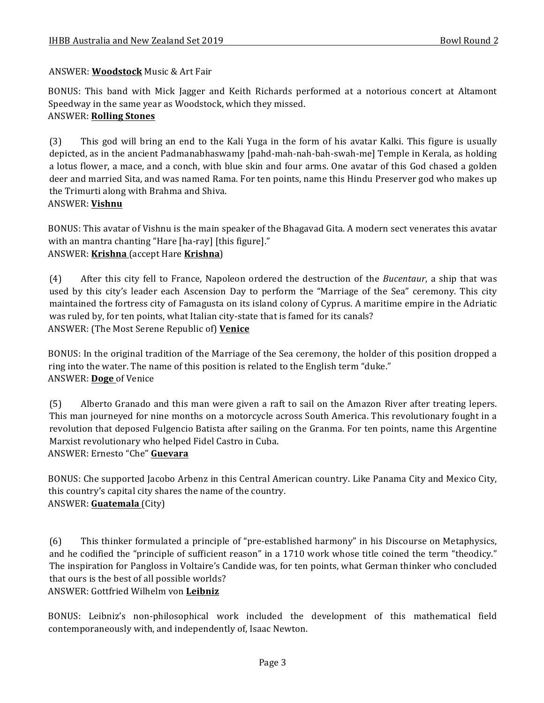## ANSWER: **Woodstock** Music & Art Fair

BONUS: This band with Mick Jagger and Keith Richards performed at a notorious concert at Altamont Speedway in the same year as Woodstock, which they missed.

## ANSWER: **Rolling Stones**

(3) This god will bring an end to the Kali Yuga in the form of his avatar Kalki. This figure is usually depicted, as in the ancient Padmanabhaswamy [pahd-mah-nah-bah-swah-me] Temple in Kerala, as holding a lotus flower, a mace, and a conch, with blue skin and four arms. One avatar of this God chased a golden deer and married Sita, and was named Rama. For ten points, name this Hindu Preserver god who makes up the Trimurti along with Brahma and Shiva. ANSWER: **Vishnu**

BONUS: This avatar of Vishnu is the main speaker of the Bhagavad Gita. A modern sect venerates this avatar with an mantra chanting "Hare [ha-ray] [this figure]." ANSWER: **Krishna** (accept Hare **Krishna**)

(4) After this city fell to France, Napoleon ordered the destruction of the *Bucentaur*, a ship that was used by this city's leader each Ascension Day to perform the "Marriage of the Sea" ceremony. This city maintained the fortress city of Famagusta on its island colony of Cyprus. A maritime empire in the Adriatic was ruled by, for ten points, what Italian city-state that is famed for its canals? ANSWER: (The Most Serene Republic of) Venice

BONUS: In the original tradition of the Marriage of the Sea ceremony, the holder of this position dropped a ring into the water. The name of this position is related to the English term "duke." ANSWER: Doge of Venice

(5) Alberto Granado and this man were given a raft to sail on the Amazon River after treating lepers. This man journeyed for nine months on a motorcycle across South America. This revolutionary fought in a revolution that deposed Fulgencio Batista after sailing on the Granma. For ten points, name this Argentine Marxist revolutionary who helped Fidel Castro in Cuba.

ANSWER: Ernesto "Che" Guevara

BONUS: Che supported Jacobo Arbenz in this Central American country. Like Panama City and Mexico City, this country's capital city shares the name of the country. ANSWER: **Guatemala** (City)

(6) This thinker formulated a principle of "pre-established harmony" in his Discourse on Metaphysics, and he codified the "principle of sufficient reason" in a 1710 work whose title coined the term "theodicy." The inspiration for Pangloss in Voltaire's Candide was, for ten points, what German thinker who concluded that ours is the best of all possible worlds? ANSWER: Gottfried Wilhelm von **Leibniz**

BONUS: Leibniz's non-philosophical work included the development of this mathematical field contemporaneously with, and independently of, Isaac Newton.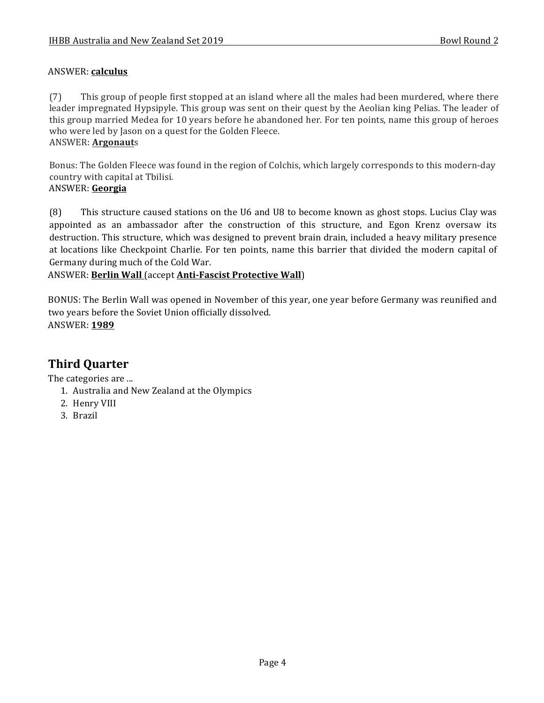## ANSWER: **calculus**

(7) This group of people first stopped at an island where all the males had been murdered, where there leader impregnated Hypsipyle. This group was sent on their quest by the Aeolian king Pelias. The leader of this group married Medea for 10 years before he abandoned her. For ten points, name this group of heroes who were led by Jason on a quest for the Golden Fleece.

## ANSWER: **Argonaut**s

Bonus: The Golden Fleece was found in the region of Colchis, which largely corresponds to this modern-day country with capital at Tbilisi.

## ANSWER: **Georgia**

(8) This structure caused stations on the U6 and U8 to become known as ghost stops. Lucius Clay was appointed as an ambassador after the construction of this structure, and Egon Krenz oversaw its destruction. This structure, which was designed to prevent brain drain, included a heavy military presence at locations like Checkpoint Charlie. For ten points, name this barrier that divided the modern capital of Germany during much of the Cold War.

## ANSWER: Berlin Wall (accept **Anti-Fascist Protective Wall**)

BONUS: The Berlin Wall was opened in November of this year, one year before Germany was reunified and two years before the Soviet Union officially dissolved. ANSWER: **1989**

# **Third Quarter**

The categories are ...

- 1. Australia and New Zealand at the Olympics
- 2. Henry VIII
- 3. Brazil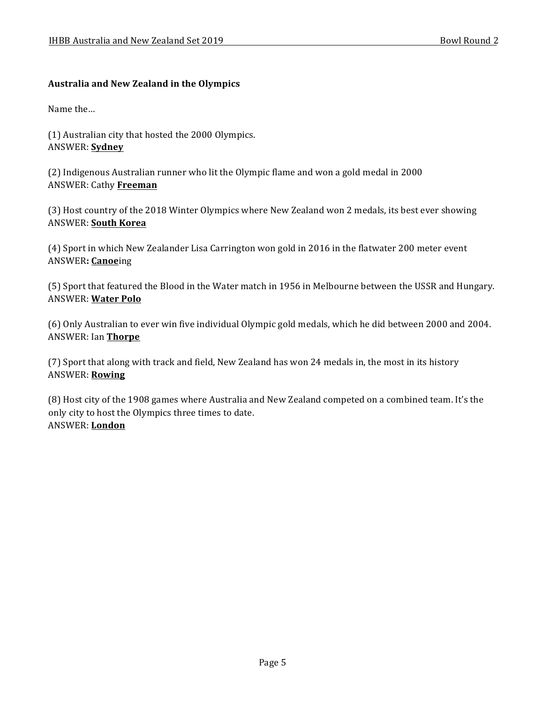### **Australia and New Zealand in the Olympics**

Name the...

(1) Australian city that hosted the 2000 Olympics. ANSWER: **Sydney**

(2) Indigenous Australian runner who lit the Olympic flame and won a gold medal in 2000 ANSWER: Cathy **Freeman**

(3) Host country of the 2018 Winter Olympics where New Zealand won 2 medals, its best ever showing ANSWER: **South Korea**

(4) Sport in which New Zealander Lisa Carrington won gold in 2016 in the flatwater 200 meter event ANSWER**: Canoe**ing

(5) Sport that featured the Blood in the Water match in 1956 in Melbourne between the USSR and Hungary. ANSWER: **Water Polo**

(6) Only Australian to ever win five individual Olympic gold medals, which he did between 2000 and 2004. ANSWER: Ian **Thorpe**

(7) Sport that along with track and field, New Zealand has won 24 medals in, the most in its history ANSWER: **Rowing**

(8) Host city of the 1908 games where Australia and New Zealand competed on a combined team. It's the only city to host the Olympics three times to date. ANSWER: **London**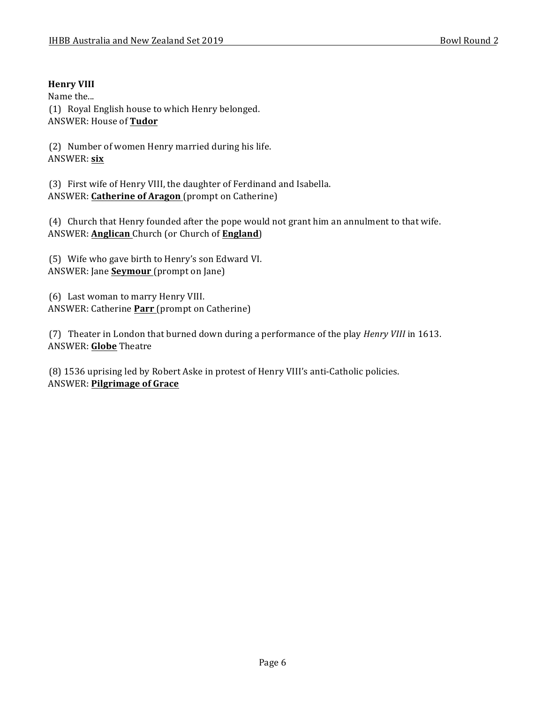## **Henry VIII**

Name the...

(1) Royal English house to which Henry belonged. ANSWER: House of **Tudor** 

(2) Number of women Henry married during his life. ANSWER: **six**

(3) First wife of Henry VIII, the daughter of Ferdinand and Isabella. ANSWER: **Catherine of Aragon** (prompt on Catherine)

(4) Church that Henry founded after the pope would not grant him an annulment to that wife. ANSWER: **Anglican** Church (or Church of **England**)

(5) Wife who gave birth to Henry's son Edward VI. ANSWER: Jane **Seymour** (prompt on Jane)

(6) Last woman to marry Henry VIII. ANSWER: Catherine **Parr** (prompt on Catherine)

(7) Theater in London that burned down during a performance of the play *Henry VIII* in 1613. **ANSWER: Globe Theatre** 

(8) 1536 uprising led by Robert Aske in protest of Henry VIII's anti-Catholic policies. ANSWER: **Pilgrimage of Grace**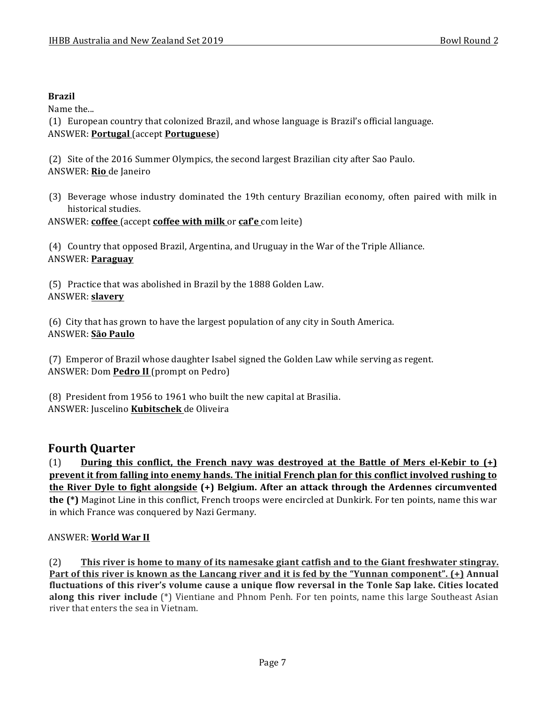## **Brazil**

Name the...

(1) European country that colonized Brazil, and whose language is Brazil's official language. ANSWER: **Portugal** (accept **Portuguese**)

(2) Site of the 2016 Summer Olympics, the second largest Brazilian city after Sao Paulo. ANSWER: **Rio** de Janeiro

(3) Beverage whose industry dominated the 19th century Brazilian economy, often paired with milk in historical studies.

ANSWER: **coffee** (accept **coffee with milk** or **caf'e** com leite)

(4) Country that opposed Brazil, Argentina, and Uruguay in the War of the Triple Alliance. ANSWER: **Paraguay**

(5) Practice that was abolished in Brazil by the 1888 Golden Law. ANSWER: **slavery**

(6) City that has grown to have the largest population of any city in South America. ANSWER: **São Paulo**

(7) Emperor of Brazil whose daughter Isabel signed the Golden Law while serving as regent. ANSWER: Dom **Pedro II** (prompt on Pedro)

(8) President from 1956 to 1961 who built the new capital at Brasilia. ANSWER: Juscelino **Kubitschek** de Oliveira

# **Fourth Quarter**

 $(1)$  **During this conflict, the French navy was destroyed at the Battle of Mers el-Kebir to**  $(+)$ **prevent it from falling into enemy hands. The initial French plan for this conflict involved rushing to the River Dyle to fight alongside (+) Belgium.** After an attack through the Ardennes circumvented **the** (\*) Maginot Line in this conflict, French troops were encircled at Dunkirk. For ten points, name this war in which France was conquered by Nazi Germany.

## ANSWER: **World War II**

(2) This river is home to many of its namesake giant catfish and to the Giant freshwater stingray. **Part of this river is known as the Lancang river and it is fed by the "Yunnan component". (+) Annual** fluctuations of this river's volume cause a unique flow reversal in the Tonle Sap lake. Cities located **along this river include** (\*) Vientiane and Phnom Penh. For ten points, name this large Southeast Asian river that enters the sea in Vietnam.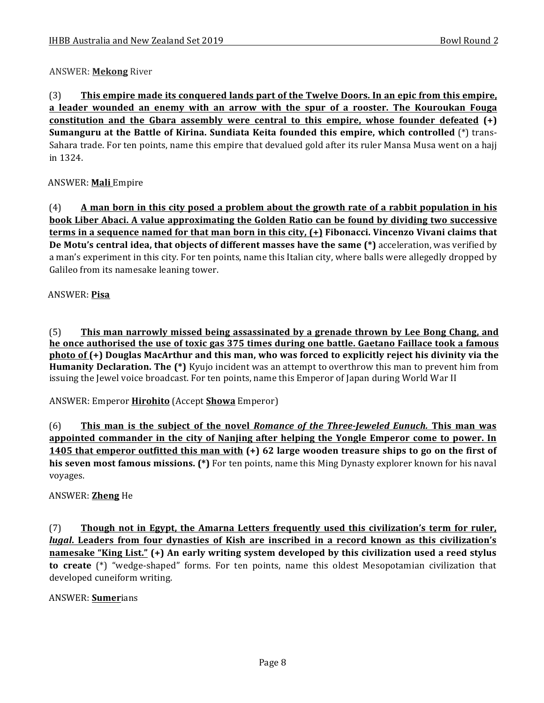## ANSWER: **Mekong** River

(3) This empire made its conquered lands part of the Twelve Doors. In an epic from this empire, **a leader wounded an enemy with an arrow with the spur of a rooster. The Kouroukan Fouga constitution and the Gbara assembly were central to this empire, whose founder defeated**  $(+)$ **Sumanguru at the Battle of Kirina. Sundiata Keita founded this empire, which controlled** (\*) trans-Sahara trade. For ten points, name this empire that devalued gold after its ruler Mansa Musa went on a hajj in 1324.

## ANSWER: **Mali** Empire

(4) **A** man born in this city posed a problem about the growth rate of a rabbit population in his **book Liber Abaci. A value approximating the Golden Ratio can be found by dividing two successive terms in a sequence named for that man born in this city, (+)** Fibonacci. Vincenzo Vivani claims that **De Motu's central idea, that objects of different masses have the same (\*)** acceleration, was verified by a man's experiment in this city. For ten points, name this Italian city, where balls were allegedly dropped by Galileo from its namesake leaning tower.

### ANSWER: **Pisa**

(5) **This man narrowly missed being assassinated by a grenade thrown by Lee Bong Chang, and he** once authorised the use of toxic gas 375 times during one battle. Gaetano Faillace took a famous **photo of (+)** Douglas MacArthur and this man, who was forced to explicitly reject his divinity via the **Humanity Declaration. The (\*)** Kyujo incident was an attempt to overthrow this man to prevent him from issuing the Jewel voice broadcast. For ten points, name this Emperor of Japan during World War II

ANSWER: Emperor **Hirohito** (Accept **Showa** Emperor)

(6) **This man is the subject of the novel** *Romance of the Three-Jeweled Eunuch***. This man was appointed commander in the city of Nanjing after helping the Yongle Emperor come to power. In 1405** that emperor outfitted this man with (+) 62 large wooden treasure ships to go on the first of his seven most famous missions. (\*) For ten points, name this Ming Dynasty explorer known for his naval voyages. 

### ANSWER: **Zheng** He

(7) **Though not in Egypt, the Amarna Letters frequently used this civilization's term for ruler,** *lugal*. Leaders from four dynasties of Kish are inscribed in a record known as this civilization's **namesake "King List."** (+) An early writing system developed by this civilization used a reed stylus **to** create (\*) "wedge-shaped" forms. For ten points, name this oldest Mesopotamian civilization that developed cuneiform writing.

### ANSWER: **Sumer**ians